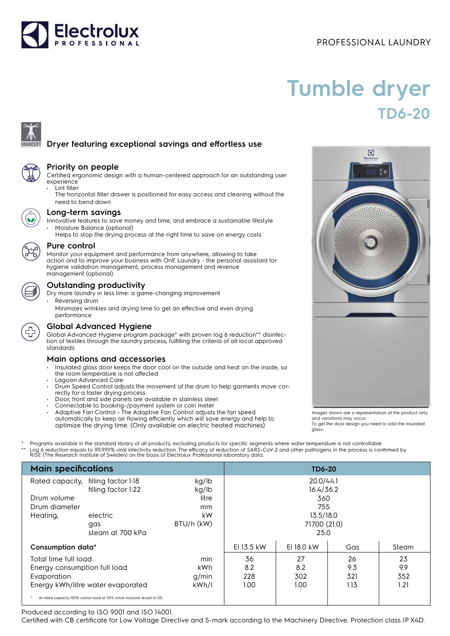# Electrolux

## PROFESSIONAL LAUNDRY

# **Tumble dryer TD6-20**

### **Dryer featuring exceptional savings and effortless use**



#### **Priority on people**

Certified ergonomic design with a human-centered approach for an outstanding user experience

- Lint filter
	- The horizontal filter drawer is positioned for easy access and cleaning without the need to bend down



#### **Long-term savings**

- Innovative features to save money and time, and embrace a sustainable lifestyle • Moisture Balance (optional)
- Helps to stop the drying process at the right time to save on energy costs



#### **Pure control**

Monitor your equipment and performance from anywhere, allowing to take action and to improve your business with OnE Laundry - the personal assistant for hygiene validation management, process management and revenue management (optional)



#### **Outstanding productivity**

- Dry more laundry in less time: a game-changing improvement Reversing drum
	- Minimizes wrinkles and drying time to get an effective and even drying performance



#### **Global Advanced Hygiene**

Global Advanced Hygiene program package\* with proven log 6 reduction\*\* disinfection of textiles through the laundry process, fulfilling the criteria of all local approved standards

#### **Main options and accessories**

- Insulated glass door keeps the door cool on the outside and heat on the inside, so the room temperature is not affected
- Lagoon Advanced Care • Drum Speed Control adjusts the movement of the drum to help garments move correctly for a faster drying process
- Door, front and side panels are available in stainless steel
- Connectable to booking-/payment system or coin meter
- Adaptive Fan Control The Adaptive Fan Control adjusts the fan speed automatically to keep air flowing efficiently which will save energy and help to optimize the drying time. (Only available on electric heated machines)

Programs available in the standard library of all products, excluding products for specific segments where water temperature is not controllable. \*\* Log 6 reduction equals to 99,999% viral infectivity reduction. The efficacy of reduction of SARS-CoV-2 and other pathogens in the process is confirmed by<br>RISE (The Research Institute of Sweden) on the basis of Electrolu

| <b>Main specifications</b>                                              |                                     |             | <b>TD6-20</b> |              |       |     |
|-------------------------------------------------------------------------|-------------------------------------|-------------|---------------|--------------|-------|-----|
|                                                                         | Rated capacity, filling factor 1:18 | kg/lb       |               | 20.0/44.1    |       |     |
|                                                                         | filling factor 1:22                 | kg/lb       |               | 16.4/36.2    |       |     |
| Drum volume<br>Drum diameter                                            |                                     | litre<br>mm |               | 360<br>755   |       |     |
| Heating,                                                                | electric                            | kW          |               | 13.5/18.0    |       |     |
|                                                                         | gas                                 | BTU/h (kW)  |               | 71700 (21.0) |       |     |
|                                                                         | steam at 700 kPa                    |             |               | 25.0         |       |     |
| Consumption data*                                                       |                                     | EI 13.5 kW  | EI 18.0 kW    | Gas          | Steam |     |
| Total time full load<br>min                                             |                                     | 36          | 27            | 26           | 23    |     |
| Energy consumption full load                                            |                                     | kWh         | 8.2           | 8.2          | 9.3   | 9.9 |
| Evaporation                                                             |                                     | q/min       | 228           | 302          | 321   | 352 |
| Energy kWh/litre water evaporated<br>kWh/l                              |                                     | 1.00        | 1.00          | 1.13         | 1.21  |     |
| At rated capacity 100% cotton load at 50% initial moisture dryed to 0%. |                                     |             |               |              |       |     |

Produced according to ISO 9001 and ISO 14001.

Certified with CB certificate for Low Voltage Directive and S-mark according to the Machinery Directive. Protection class IP X4D.



Images shown are a representation of the product only and variations may occur. To get the door design you need to add the insulated glass.